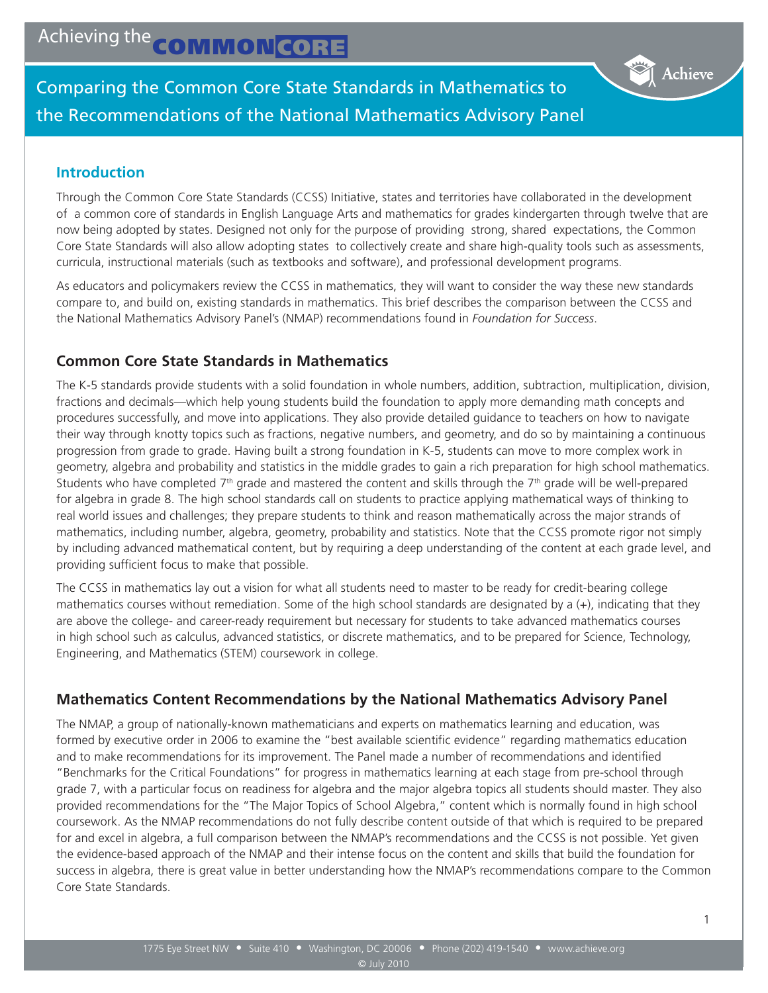Comparing the Common Core State Standards in Mathematics to the Recommendations of the National Mathematics Advisory Panel

#### **Introduction**

Through the Common Core State Standards (CCSS) Initiative, states and territories have collaborated in the development of a common core of standards in English Language Arts and mathematics for grades kindergarten through twelve that are now being adopted by states. Designed not only for the purpose of providing strong, shared expectations, the Common Core State Standards will also allow adopting states to collectively create and share high-quality tools such as assessments, curricula, instructional materials (such as textbooks and software), and professional development programs.

As educators and policymakers review the CCSS in mathematics, they will want to consider the way these new standards compare to, and build on, existing standards in mathematics. This brief describes the comparison between the CCSS and the National Mathematics Advisory Panel's (NMAP) recommendations found in *Foundation for Success*.

#### **Common Core State Standards in Mathematics**

The K-5 standards provide students with a solid foundation in whole numbers, addition, subtraction, multiplication, division, fractions and decimals—which help young students build the foundation to apply more demanding math concepts and procedures successfully, and move into applications. They also provide detailed guidance to teachers on how to navigate their way through knotty topics such as fractions, negative numbers, and geometry, and do so by maintaining a continuous progression from grade to grade. Having built a strong foundation in K-5, students can move to more complex work in geometry, algebra and probability and statistics in the middle grades to gain a rich preparation for high school mathematics. Students who have completed  $7<sup>th</sup>$  grade and mastered the content and skills through the  $7<sup>th</sup>$  grade will be well-prepared for algebra in grade 8. The high school standards call on students to practice applying mathematical ways of thinking to real world issues and challenges; they prepare students to think and reason mathematically across the major strands of mathematics, including number, algebra, geometry, probability and statistics. Note that the CCSS promote rigor not simply by including advanced mathematical content, but by requiring a deep understanding of the content at each grade level, and providing sufficient focus to make that possible.

The CCSS in mathematics lay out a vision for what all students need to master to be ready for credit-bearing college mathematics courses without remediation. Some of the high school standards are designated by  $a (+)$ , indicating that they are above the college- and career-ready requirement but necessary for students to take advanced mathematics courses in high school such as calculus, advanced statistics, or discrete mathematics, and to be prepared for Science, Technology, Engineering, and Mathematics (STEM) coursework in college.

# **Mathematics Content Recommendations by the National Mathematics Advisory Panel**

The NMAP, a group of nationally-known mathematicians and experts on mathematics learning and education, was formed by executive order in 2006 to examine the "best available scientific evidence" regarding mathematics education and to make recommendations for its improvement. The Panel made a number of recommendations and identified "Benchmarks for the Critical Foundations" for progress in mathematics learning at each stage from pre-school through grade 7, with a particular focus on readiness for algebra and the major algebra topics all students should master. They also provided recommendations for the "The Major Topics of School Algebra," content which is normally found in high school coursework. As the NMAP recommendations do not fully describe content outside of that which is required to be prepared for and excel in algebra, a full comparison between the NMAP's recommendations and the CCSS is not possible. Yet given the evidence-based approach of the NMAP and their intense focus on the content and skills that build the foundation for success in algebra, there is great value in better understanding how the NMAP's recommendations compare to the Common Core State Standards.

Achieve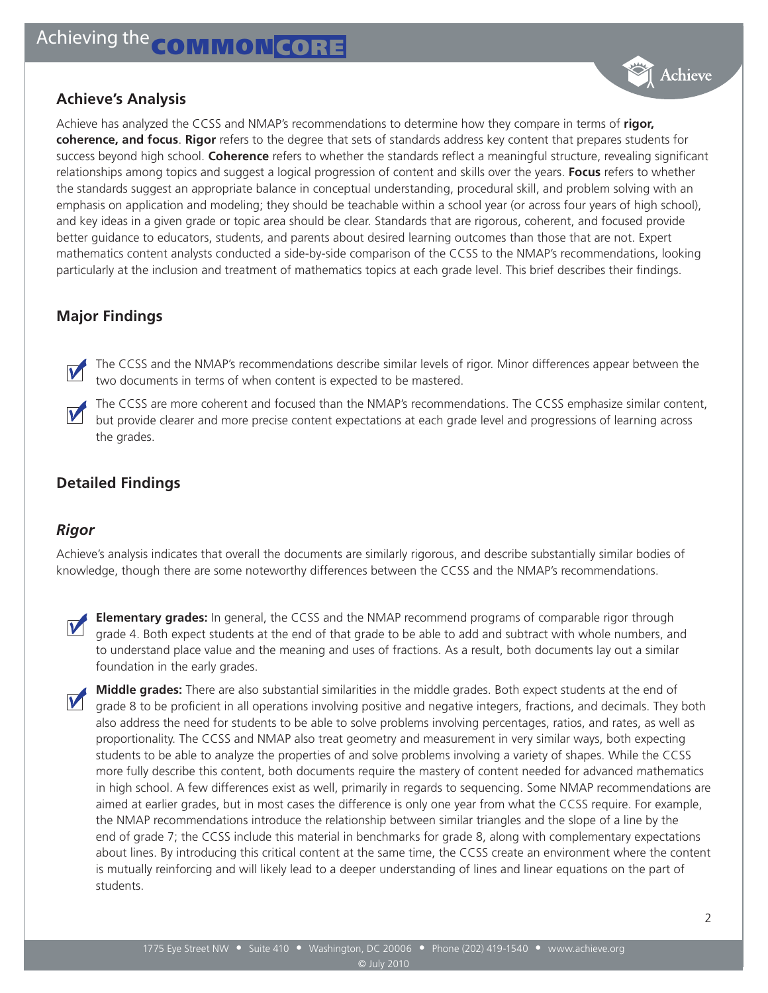

Achieve has analyzed the CCSS and NMAP's recommendations to determine how they compare in terms of **rigor, coherence, and focus**. **Rigor** refers to the degree that sets of standards address key content that prepares students for success beyond high school. **Coherence** refers to whether the standards reflect a meaningful structure, revealing significant relationships among topics and suggest a logical progression of content and skills over the years. **Focus** refers to whether the standards suggest an appropriate balance in conceptual understanding, procedural skill, and problem solving with an emphasis on application and modeling; they should be teachable within a school year (or across four years of high school), and key ideas in a given grade or topic area should be clear. Standards that are rigorous, coherent, and focused provide better guidance to educators, students, and parents about desired learning outcomes than those that are not. Expert mathematics content analysts conducted a side-by-side comparison of the CCSS to the NMAP's recommendations, looking particularly at the inclusion and treatment of mathematics topics at each grade level. This brief describes their findings.

# **Major Findings**

The CCSS and the NMAP's recommendations describe similar levels of rigor. Minor differences appear between the two documents in terms of when content is expected to be mastered.

The CCSS are more coherent and focused than the NMAP's recommendations. The CCSS emphasize similar content, but provide clearer and more precise content expectations at each grade level and progressions of learning across the grades.

# **Detailed Findings**

# *Rigor*

Achieve's analysis indicates that overall the documents are similarly rigorous, and describe substantially similar bodies of knowledge, though there are some noteworthy differences between the CCSS and the NMAP's recommendations.



M

**Elementary grades:** In general, the CCSS and the NMAP recommend programs of comparable rigor through grade 4. Both expect students at the end of that grade to be able to add and subtract with whole numbers, and to understand place value and the meaning and uses of fractions. As a result, both documents lay out a similar foundation in the early grades.

**Middle grades:** There are also substantial similarities in the middle grades. Both expect students at the end of grade 8 to be proficient in all operations involving positive and negative integers, fractions, and decimals. They both also address the need for students to be able to solve problems involving percentages, ratios, and rates, as well as proportionality. The CCSS and NMAP also treat geometry and measurement in very similar ways, both expecting students to be able to analyze the properties of and solve problems involving a variety of shapes. While the CCSS more fully describe this content, both documents require the mastery of content needed for advanced mathematics in high school. A few differences exist as well, primarily in regards to sequencing. Some NMAP recommendations are aimed at earlier grades, but in most cases the difference is only one year from what the CCSS require. For example, the NMAP recommendations introduce the relationship between similar triangles and the slope of a line by the end of grade 7; the CCSS include this material in benchmarks for grade 8, along with complementary expectations about lines. By introducing this critical content at the same time, the CCSS create an environment where the content is mutually reinforcing and will likely lead to a deeper understanding of lines and linear equations on the part of students.

Achieve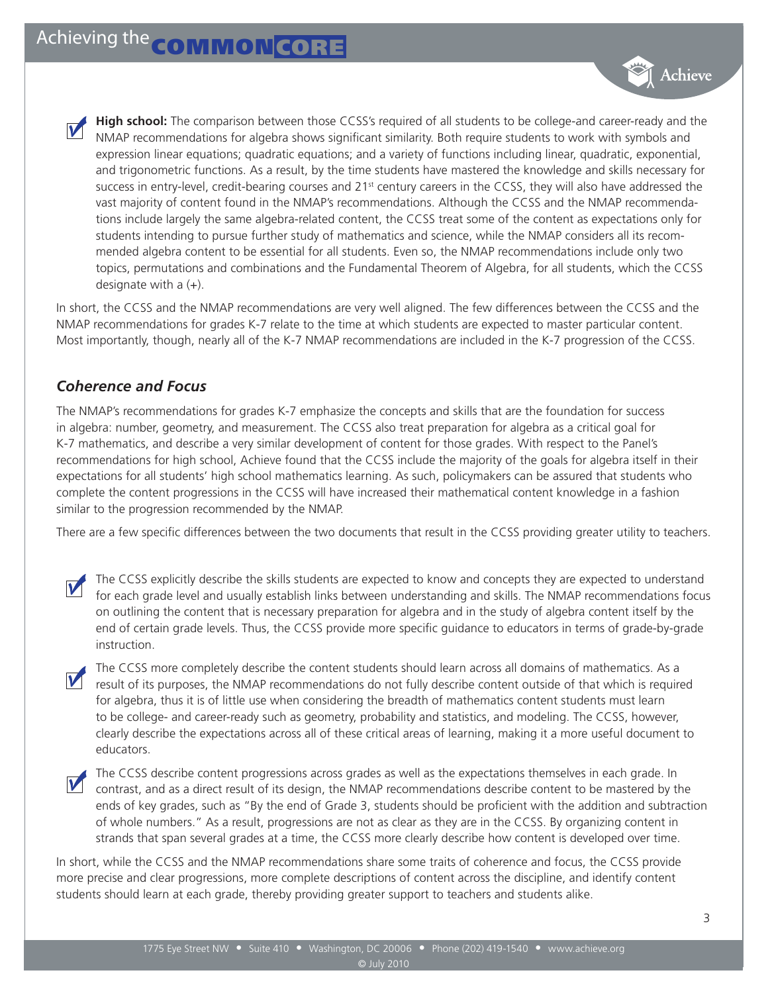**High school:** The comparison between those CCSS's required of all students to be college-and career-ready and the NMAP recommendations for algebra shows significant similarity. Both require students to work with symbols and expression linear equations; quadratic equations; and a variety of functions including linear, quadratic, exponential, and trigonometric functions. As a result, by the time students have mastered the knowledge and skills necessary for success in entry-level, credit-bearing courses and 21<sup>st</sup> century careers in the CCSS, they will also have addressed the vast majority of content found in the NMAP's recommendations. Although the CCSS and the NMAP recommendations include largely the same algebra-related content, the CCSS treat some of the content as expectations only for students intending to pursue further study of mathematics and science, while the NMAP considers all its recommended algebra content to be essential for all students. Even so, the NMAP recommendations include only two topics, permutations and combinations and the Fundamental Theorem of Algebra, for all students, which the CCSS designate with a (+).

In short, the CCSS and the NMAP recommendations are very well aligned. The few differences between the CCSS and the NMAP recommendations for grades K-7 relate to the time at which students are expected to master particular content. Most importantly, though, nearly all of the K-7 NMAP recommendations are included in the K-7 progression of the CCSS.

#### *Coherence and Focus*

The NMAP's recommendations for grades K-7 emphasize the concepts and skills that are the foundation for success in algebra: number, geometry, and measurement. The CCSS also treat preparation for algebra as a critical goal for K-7 mathematics, and describe a very similar development of content for those grades. With respect to the Panel's recommendations for high school, Achieve found that the CCSS include the majority of the goals for algebra itself in their expectations for all students' high school mathematics learning. As such, policymakers can be assured that students who complete the content progressions in the CCSS will have increased their mathematical content knowledge in a fashion similar to the progression recommended by the NMAP.

There are a few specific differences between the two documents that result in the CCSS providing greater utility to teachers.

The CCSS explicitly describe the skills students are expected to know and concepts they are expected to understand for each grade level and usually establish links between understanding and skills. The NMAP recommendations focus on outlining the content that is necessary preparation for algebra and in the study of algebra content itself by the end of certain grade levels. Thus, the CCSS provide more specific guidance to educators in terms of grade-by-grade instruction.

The CCSS more completely describe the content students should learn across all domains of mathematics. As a result of its purposes, the NMAP recommendations do not fully describe content outside of that which is required for algebra, thus it is of little use when considering the breadth of mathematics content students must learn to be college- and career-ready such as geometry, probability and statistics, and modeling. The CCSS, however, clearly describe the expectations across all of these critical areas of learning, making it a more useful document to educators.

The CCSS describe content progressions across grades as well as the expectations themselves in each grade. In contrast, and as a direct result of its design, the NMAP recommendations describe content to be mastered by the ends of key grades, such as "By the end of Grade 3, students should be proficient with the addition and subtraction of whole numbers." As a result, progressions are not as clear as they are in the CCSS. By organizing content in strands that span several grades at a time, the CCSS more clearly describe how content is developed over time.

In short, while the CCSS and the NMAP recommendations share some traits of coherence and focus, the CCSS provide more precise and clear progressions, more complete descriptions of content across the discipline, and identify content students should learn at each grade, thereby providing greater support to teachers and students alike.

Achieve